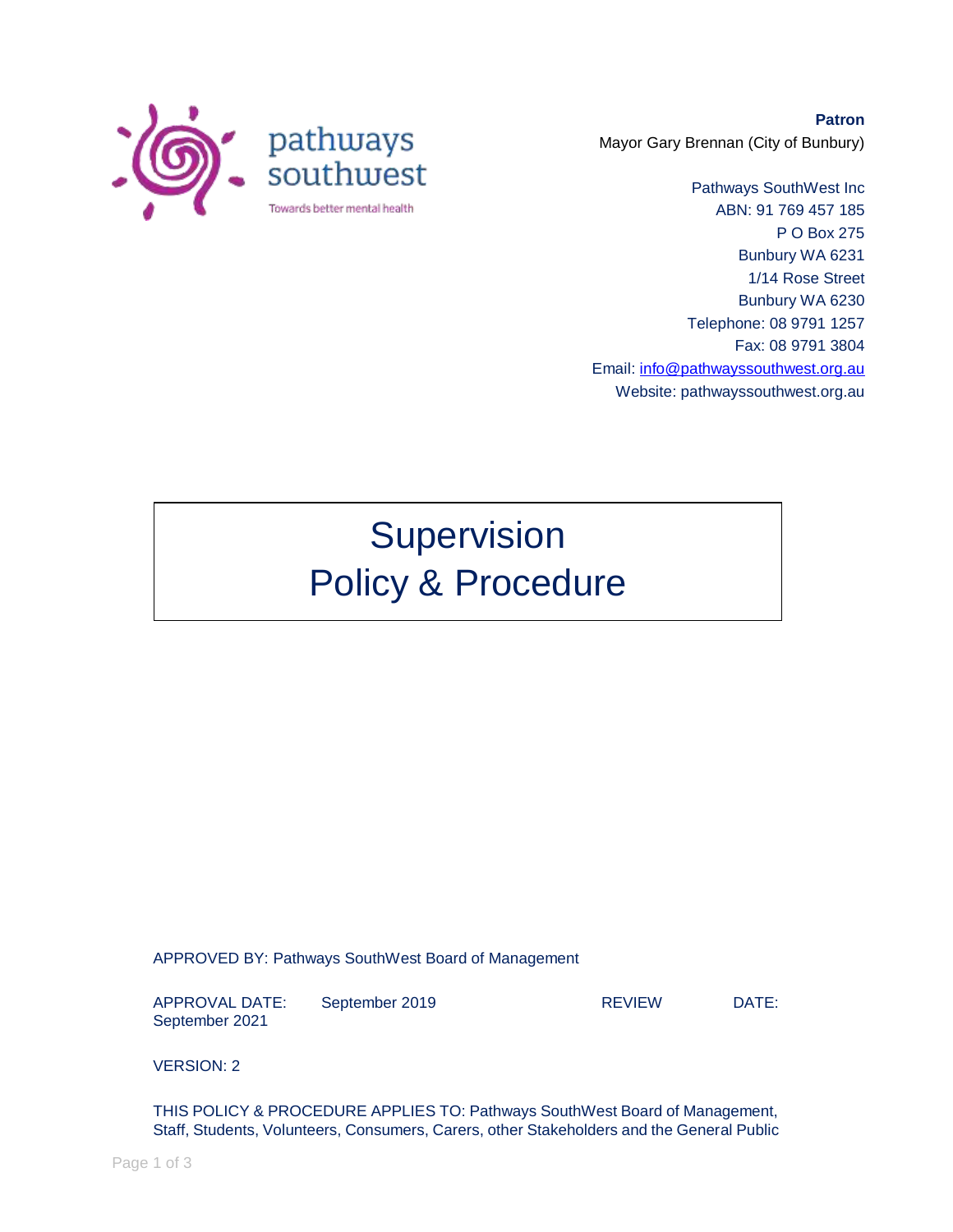

**Patron** Mayor Gary Brennan (City of Bunbury)

Pathways SouthWest Inc ABN: 91 769 457 185 P O Box 275 Bunbury WA 6231 1/14 Rose Street Bunbury WA 6230 Telephone: 08 9791 1257 Fax: 08 9791 3804 Email: [info@pathwayssouthwest.org.au](mailto:info@pathwayssouthwest.org.au) Website: pathwayssouthwest.org.au

## Supervision Policy & Procedure

APPROVED BY: Pathways SouthWest Board of Management

APPROVAL DATE: September 2019 REVIEW DATE: September 2021

VERSION: 2

THIS POLICY & PROCEDURE APPLIES TO: Pathways SouthWest Board of Management, Staff, Students, Volunteers, Consumers, Carers, other Stakeholders and the General Public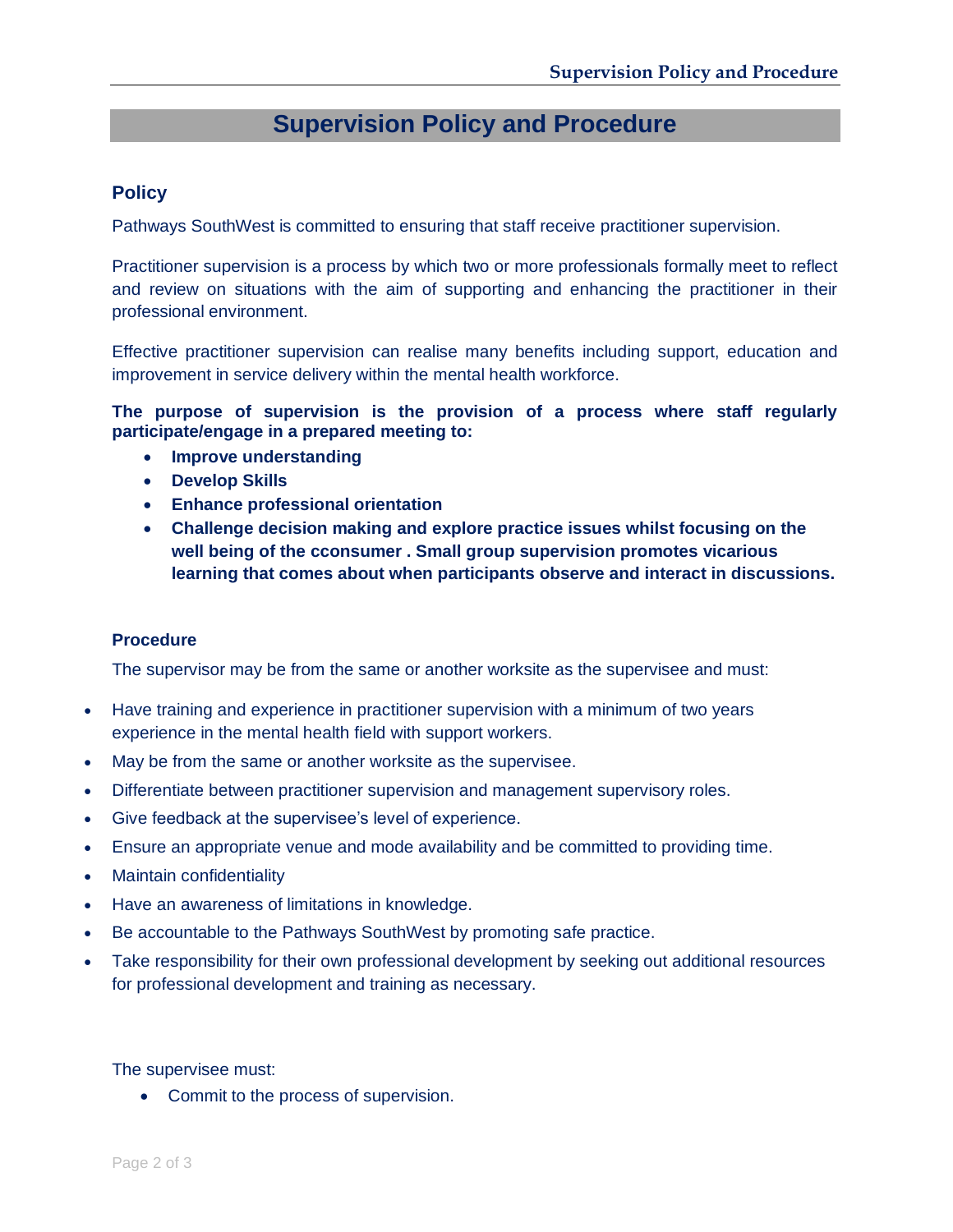## **Supervision Policy and Procedure**

## **Policy**

Pathways SouthWest is committed to ensuring that staff receive practitioner supervision.

Practitioner supervision is a process by which two or more professionals formally meet to reflect and review on situations with the aim of supporting and enhancing the practitioner in their professional environment.

Effective practitioner supervision can realise many benefits including support, education and improvement in service delivery within the mental health workforce.

**The purpose of supervision is the provision of a process where staff regularly participate/engage in a prepared meeting to:**

- **Improve understanding**
- **Develop Skills**
- **Enhance professional orientation**
- **Challenge decision making and explore practice issues whilst focusing on the well being of the cconsumer . Small group supervision promotes vicarious learning that comes about when participants observe and interact in discussions.**

## **Procedure**

The supervisor may be from the same or another worksite as the supervisee and must:

- Have training and experience in practitioner supervision with a minimum of two years experience in the mental health field with support workers.
- May be from the same or another worksite as the supervisee.
- Differentiate between practitioner supervision and management supervisory roles.
- Give feedback at the supervisee's level of experience.
- Ensure an appropriate venue and mode availability and be committed to providing time.
- Maintain confidentiality
- Have an awareness of limitations in knowledge.
- Be accountable to the Pathways SouthWest by promoting safe practice.
- Take responsibility for their own professional development by seeking out additional resources for professional development and training as necessary.

The supervisee must:

• Commit to the process of supervision.